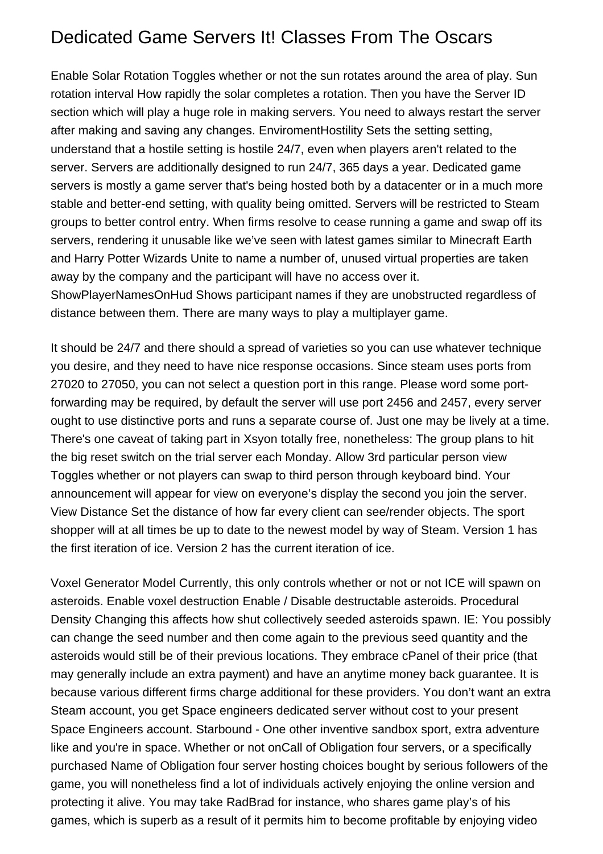## Dedicated Game Servers It! Classes From The Oscars

Enable Solar Rotation Toggles whether or not the sun rotates around the area of play. Sun rotation interval How rapidly the solar completes a rotation. Then you have the Server ID section which will play a huge role in making servers. You need to always restart the server after making and saving any changes. EnviromentHostility Sets the setting setting, understand that a hostile setting is hostile 24/7, even when players aren't related to the server. Servers are additionally designed to run 24/7, 365 days a year. Dedicated game servers is mostly a game server that's being hosted both by a datacenter or in a much more stable and better-end setting, with quality being omitted. Servers will be restricted to Steam groups to better control entry. When firms resolve to cease running a game and swap off its servers, rendering it unusable like we've seen with latest games similar to Minecraft Earth and Harry Potter Wizards Unite to name a number of, unused virtual properties are taken away by the company and the participant will have no access over it. ShowPlayerNamesOnHud Shows participant names if they are unobstructed regardless of

distance between them. There are many ways to play a multiplayer game.

It should be 24/7 and there should a spread of varieties so you can use whatever technique you desire, and they need to have nice response occasions. Since steam uses ports from 27020 to 27050, you can not select a question port in this range. Please word some portforwarding may be required, by default the server will use port 2456 and 2457, every server ought to use distinctive ports and runs a separate course of. Just one may be lively at a time. There's one caveat of taking part in Xsyon totally free, nonetheless: The group plans to hit the big reset switch on the trial server each Monday. Allow 3rd particular person view Toggles whether or not players can swap to third person through keyboard bind. Your announcement will appear for view on everyone's display the second you join the server. View Distance Set the distance of how far every client can see/render objects. The sport shopper will at all times be up to date to the newest model by way of Steam. Version 1 has the first iteration of ice. Version 2 has the current iteration of ice.

Voxel Generator Model Currently, this only controls whether or not or not ICE will spawn on asteroids. Enable voxel destruction Enable / Disable destructable asteroids. Procedural Density Changing this affects how shut collectively seeded asteroids spawn. IE: You possibly can change the seed number and then come again to the previous seed quantity and the asteroids would still be of their previous locations. They embrace cPanel of their price (that may generally include an extra payment) and have an anytime money back guarantee. It is because various different firms charge additional for these providers. You don't want an extra Steam account, you get Space engineers dedicated server without cost to your present Space Engineers account. Starbound - One other inventive sandbox sport, extra adventure like and you're in space. Whether or not onCall of Obligation four servers, or a specifically purchased Name of Obligation four server hosting choices bought by serious followers of the game, you will nonetheless find a lot of individuals actively enjoying the online version and protecting it alive. You may take RadBrad for instance, who shares game play's of his games, which is superb as a result of it permits him to become profitable by enjoying video